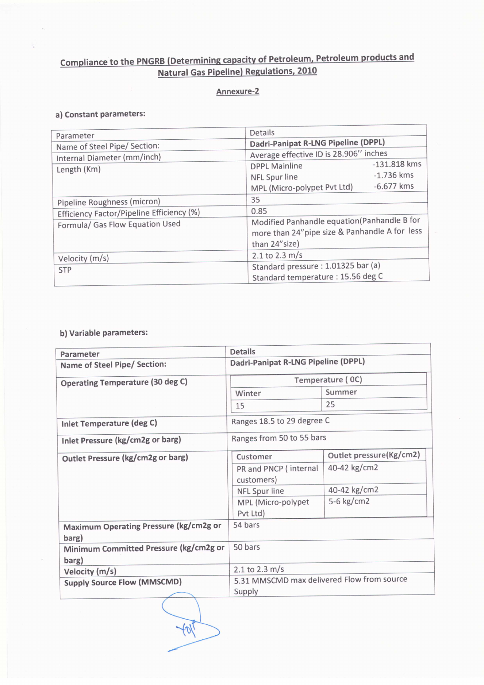## Compliance to the PNGRB (Determining capacity of Petroleum. Petroleum products and Natural Gas Pipeline) Regulations. 2010

## Annexure-2

## a) Constant parameters:

| Parameter                                 | Details                                                                                                        |  |
|-------------------------------------------|----------------------------------------------------------------------------------------------------------------|--|
| Name of Steel Pipe/ Section:              | Dadri-Panipat R-LNG Pipeline (DPPL)                                                                            |  |
| Internal Diameter (mm/inch)               | Average effective ID is 28.906" inches                                                                         |  |
| Length (Km)                               | $-131.818$ kms<br><b>DPPL Mainline</b>                                                                         |  |
|                                           | $-1.736$ kms<br>NFL Spur line                                                                                  |  |
|                                           | $-6.677$ kms<br>MPL (Micro-polypet Pvt Ltd)                                                                    |  |
| Pipeline Roughness (micron)               | 35                                                                                                             |  |
| Efficiency Factor/Pipeline Efficiency (%) | 0.85                                                                                                           |  |
| Formula/ Gas Flow Equation Used           | Modified Panhandle equation(Panhandle B for<br>more than 24" pipe size & Panhandle A for less<br>than 24"size) |  |
| Velocity (m/s)                            | $2.1$ to 2.3 m/s                                                                                               |  |
| <b>STP</b>                                | Standard pressure: 1.01325 bar (a)                                                                             |  |
|                                           | Standard temperature : 15.56 deg C                                                                             |  |

## b) Variable parameters:

| Parameter                                       | <b>Details</b>                             |                         |  |
|-------------------------------------------------|--------------------------------------------|-------------------------|--|
| Name of Steel Pipe/ Section:                    | Dadri-Panipat R-LNG Pipeline (DPPL)        |                         |  |
| <b>Operating Temperature (30 deg C)</b>         | Temperature (OC)                           |                         |  |
|                                                 | Winter                                     | Summer                  |  |
|                                                 | 15                                         | 25                      |  |
| Inlet Temperature (deg C)                       | Ranges 18.5 to 29 degree C                 |                         |  |
| Inlet Pressure (kg/cm2g or barg)                | Ranges from 50 to 55 bars                  |                         |  |
| Outlet Pressure (kg/cm2g or barg)               | Customer                                   | Outlet pressure(Kg/cm2) |  |
|                                                 | PR and PNCP (internal<br>customers)        | 40-42 kg/cm2            |  |
|                                                 | NFL Spur line                              | 40-42 kg/cm2            |  |
|                                                 | MPL (Micro-polypet<br>Pvt Ltd)             | 5-6 kg/cm2              |  |
| Maximum Operating Pressure (kg/cm2g or<br>barg) | 54 bars                                    |                         |  |
| Minimum Committed Pressure (kg/cm2g or<br>barg) | 50 bars                                    |                         |  |
| Velocity (m/s)                                  | 2.1 to 2.3 m/s                             |                         |  |
| <b>Supply Source Flow (MMSCMD)</b>              | 5.31 MMSCMD max delivered Flow from source |                         |  |
|                                                 | Supply                                     |                         |  |

 $+01$